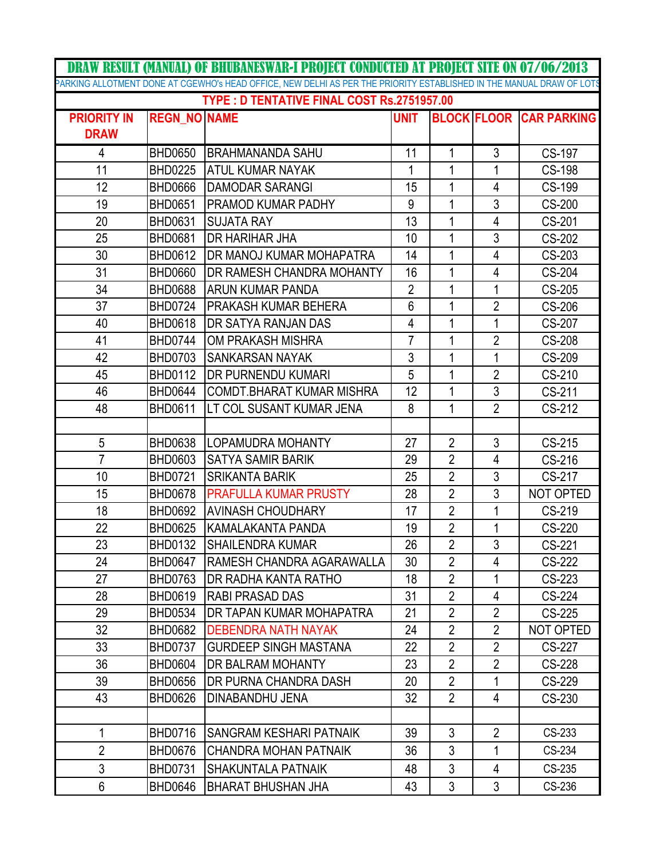|                                            |                     | <b>DRAW RESULT (MANUAL) OF BHUBANESWAR-I PROJECT CONDUCTED AT PROJECT SITE ON 07/06/2013</b>                         |                |                |                |                                |  |  |  |
|--------------------------------------------|---------------------|----------------------------------------------------------------------------------------------------------------------|----------------|----------------|----------------|--------------------------------|--|--|--|
|                                            |                     | PARKING ALLOTMENT DONE AT CGEWHO's HEAD OFFICE, NEW DELHI AS PER THE PRIORITY ESTABLISHED IN THE MANUAL DRAW OF LOTS |                |                |                |                                |  |  |  |
| TYPE: D TENTATIVE FINAL COST Rs.2751957.00 |                     |                                                                                                                      |                |                |                |                                |  |  |  |
| <b>PRIORITY IN</b>                         | <b>REGN NO NAME</b> |                                                                                                                      | <b>UNIT</b>    |                |                | <b>BLOCK FLOOR CAR PARKING</b> |  |  |  |
| <b>DRAW</b>                                |                     |                                                                                                                      |                |                |                |                                |  |  |  |
| $\overline{4}$                             | <b>BHD0650</b>      | <b>BRAHMANANDA SAHU</b>                                                                                              | 11             | 1              | 3              | CS-197                         |  |  |  |
| 11                                         | <b>BHD0225</b>      | ATUL KUMAR NAYAK                                                                                                     | 1              | 1              | 1              | <b>CS-198</b>                  |  |  |  |
| 12                                         | <b>BHD0666</b>      | <b>DAMODAR SARANGI</b>                                                                                               | 15             | 1              | 4              | CS-199                         |  |  |  |
| 19                                         | <b>BHD0651</b>      | <b>PRAMOD KUMAR PADHY</b>                                                                                            | 9              | 1              | 3              | <b>CS-200</b>                  |  |  |  |
| 20                                         | <b>BHD0631</b>      | <b>SUJATA RAY</b>                                                                                                    | 13             | 1              | $\overline{4}$ | CS-201                         |  |  |  |
| 25                                         | <b>BHD0681</b>      | <b>DR HARIHAR JHA</b>                                                                                                | 10             | 1              | 3              | CS-202                         |  |  |  |
| 30                                         | <b>BHD0612</b>      | DR MANOJ KUMAR MOHAPATRA                                                                                             | 14             | 1              | 4              | CS-203                         |  |  |  |
| 31                                         | <b>BHD0660</b>      | DR RAMESH CHANDRA MOHANTY                                                                                            | 16             | 1              | 4              | <b>CS-204</b>                  |  |  |  |
| 34                                         | <b>BHD0688</b>      | <b>ARUN KUMAR PANDA</b>                                                                                              | $\overline{2}$ | 1              | 1              | CS-205                         |  |  |  |
| 37                                         | <b>BHD0724</b>      | PRAKASH KUMAR BEHERA                                                                                                 | 6              | 1              | $\overline{2}$ | CS-206                         |  |  |  |
| 40                                         | <b>BHD0618</b>      | <b>DR SATYA RANJAN DAS</b>                                                                                           | 4              | 1              | 1              | <b>CS-207</b>                  |  |  |  |
| 41                                         | <b>BHD0744</b>      | OM PRAKASH MISHRA                                                                                                    | $\overline{7}$ | 1              | $\overline{2}$ | <b>CS-208</b>                  |  |  |  |
| 42                                         | <b>BHD0703</b>      | <b>SANKARSAN NAYAK</b>                                                                                               | 3              | 1              | 1              | <b>CS-209</b>                  |  |  |  |
| 45                                         | <b>BHD0112</b>      | <b>DR PURNENDU KUMARI</b>                                                                                            | 5              | 1              | $\overline{2}$ | CS-210                         |  |  |  |
| 46                                         | <b>BHD0644</b>      | <b>COMDT.BHARAT KUMAR MISHRA</b>                                                                                     | 12             | 1              | $\overline{3}$ | CS-211                         |  |  |  |
| 48                                         | <b>BHD0611</b>      | LT COL SUSANT KUMAR JENA                                                                                             | 8              | $\mathbf{1}$   | $\overline{2}$ | CS-212                         |  |  |  |
|                                            |                     |                                                                                                                      |                |                |                |                                |  |  |  |
| 5                                          | <b>BHD0638</b>      | LOPAMUDRA MOHANTY                                                                                                    | 27             | $\overline{2}$ | 3              | CS-215                         |  |  |  |
| $\overline{7}$                             | <b>BHD0603</b>      | <b>SATYA SAMIR BARIK</b>                                                                                             | 29             | $\overline{2}$ | 4              | CS-216                         |  |  |  |
| 10                                         | <b>BHD0721</b>      | <b>SRIKANTA BARIK</b>                                                                                                | 25             | $\overline{2}$ | 3              | CS-217                         |  |  |  |
| 15                                         | <b>BHD0678</b>      | <b>PRAFULLA KUMAR PRUSTY</b>                                                                                         | 28             | $\overline{2}$ | 3              | NOT OPTED                      |  |  |  |
| 18                                         | <b>BHD0692</b>      | <b>AVINASH CHOUDHARY</b>                                                                                             | 17             | $\overline{2}$ | 1              | CS-219                         |  |  |  |
| 22                                         | <b>BHD0625</b>      | KAMALAKANTA PANDA                                                                                                    | 19             | $\overline{2}$ | 1              | CS-220                         |  |  |  |
| 23                                         | <b>BHD0132</b>      | SHAILENDRA KUMAR                                                                                                     | 26             | $\overline{2}$ | 3              | CS-221                         |  |  |  |
| 24                                         | <b>BHD0647</b>      | RAMESH CHANDRA AGARAWALLA                                                                                            | 30             | $\overline{2}$ | 4              | CS-222                         |  |  |  |
| 27                                         | <b>BHD0763</b>      | IDR RADHA KANTA RATHO                                                                                                | 18             | $\overline{2}$ | 1              | CS-223                         |  |  |  |
| 28                                         | <b>BHD0619</b>      | <b>RABI PRASAD DAS</b>                                                                                               | 31             | $\overline{2}$ | 4              | <b>CS-224</b>                  |  |  |  |
| 29                                         | <b>BHD0534</b>      | DR TAPAN KUMAR MOHAPATRA                                                                                             | 21             | $\overline{2}$ | $\overline{2}$ | CS-225                         |  |  |  |
| 32                                         | <b>BHD0682</b>      | <b>DEBENDRA NATH NAYAK</b>                                                                                           | 24             | $\overline{2}$ | $\overline{2}$ | NOT OPTED                      |  |  |  |
| 33                                         | <b>BHD0737</b>      | <b>GURDEEP SINGH MASTANA</b>                                                                                         | 22             | $\overline{2}$ | $\overline{2}$ | CS-227                         |  |  |  |
| 36                                         | <b>BHD0604</b>      | DR BALRAM MOHANTY                                                                                                    | 23             | $\overline{2}$ | $\overline{2}$ | CS-228                         |  |  |  |
| 39                                         | <b>BHD0656</b>      | <b>DR PURNA CHANDRA DASH</b>                                                                                         | 20             | $\overline{2}$ | 1              | CS-229                         |  |  |  |
| 43                                         | <b>BHD0626</b>      | DINABANDHU JENA                                                                                                      | 32             | $\overline{2}$ | 4              | CS-230                         |  |  |  |
|                                            |                     |                                                                                                                      |                |                |                |                                |  |  |  |
| 1                                          | <b>BHD0716</b>      | SANGRAM KESHARI PATNAIK                                                                                              | 39             | $\mathfrak{Z}$ | $\overline{2}$ | CS-233                         |  |  |  |
| $\overline{2}$                             | <b>BHD0676</b>      | CHANDRA MOHAN PATNAIK                                                                                                | 36             | 3              | 1              | CS-234                         |  |  |  |
| 3                                          | <b>BHD0731</b>      | <b>SHAKUNTALA PATNAIK</b>                                                                                            | 48             | 3              | 4              | CS-235                         |  |  |  |
| 6                                          | <b>BHD0646</b>      | <b>BHARAT BHUSHAN JHA</b>                                                                                            | 43             | 3              | 3              | CS-236                         |  |  |  |
|                                            |                     |                                                                                                                      |                |                |                |                                |  |  |  |